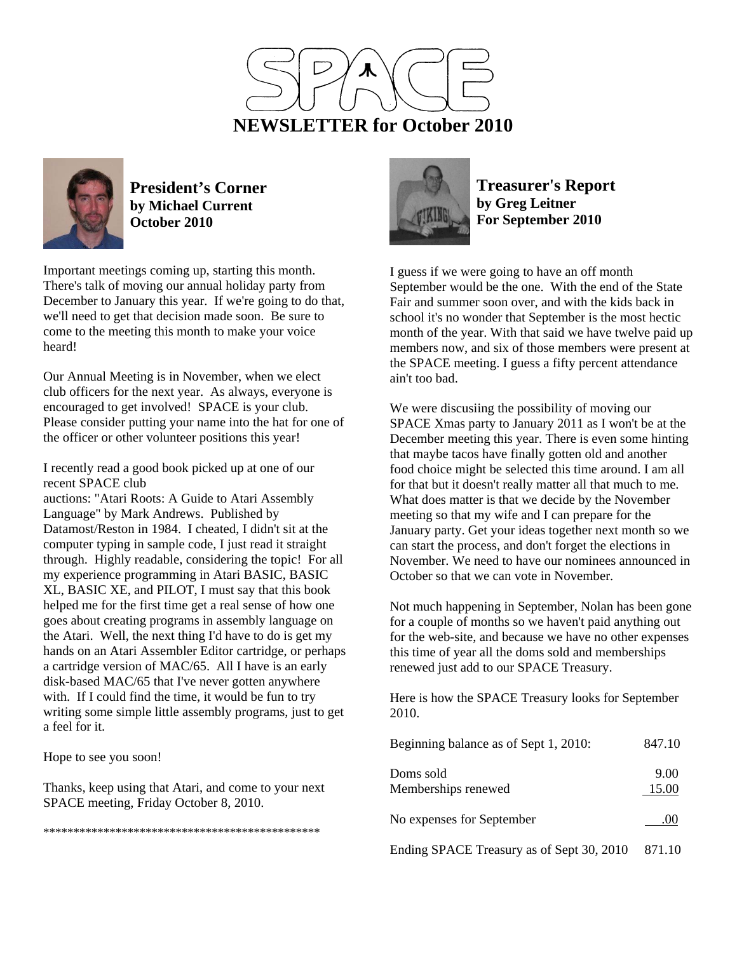



**President's Corner by Michael Current October 2010**

Important meetings coming up, starting this month. There's talk of moving our annual holiday party from December to January this year. If we're going to do that, we'll need to get that decision made soon. Be sure to come to the meeting this month to make your voice heard!

Our Annual Meeting is in November, when we elect club officers for the next year. As always, everyone is encouraged to get involved! SPACE is your club. Please consider putting your name into the hat for one of the officer or other volunteer positions this year!

I recently read a good book picked up at one of our recent SPACE club

auctions: "Atari Roots: A Guide to Atari Assembly Language" by Mark Andrews. Published by Datamost/Reston in 1984. I cheated, I didn't sit at the computer typing in sample code, I just read it straight through. Highly readable, considering the topic! For all my experience programming in Atari BASIC, BASIC XL, BASIC XE, and PILOT, I must say that this book helped me for the first time get a real sense of how one goes about creating programs in assembly language on the Atari. Well, the next thing I'd have to do is get my hands on an Atari Assembler Editor cartridge, or perhaps a cartridge version of MAC/65. All I have is an early disk-based MAC/65 that I've never gotten anywhere with. If I could find the time, it would be fun to try writing some simple little assembly programs, just to get a feel for it.

Hope to see you soon!

Thanks, keep using that Atari, and come to your next SPACE meeting, Friday October 8, 2010.

\*\*\*\*\*\*\*\*\*\*\*\*\*\*\*\*\*\*\*\*\*\*\*\*\*\*\*\*\*\*\*\*\*\*\*\*\*\*\*\*\*\*\*\*\*\*



**Treasurer's Report by Greg Leitner For September 2010** 

I guess if we were going to have an off month September would be the one. With the end of the State Fair and summer soon over, and with the kids back in school it's no wonder that September is the most hectic month of the year. With that said we have twelve paid up members now, and six of those members were present at the SPACE meeting. I guess a fifty percent attendance ain't too bad.

We were discusiing the possibility of moving our SPACE Xmas party to January 2011 as I won't be at the December meeting this year. There is even some hinting that maybe tacos have finally gotten old and another food choice might be selected this time around. I am all for that but it doesn't really matter all that much to me. What does matter is that we decide by the November meeting so that my wife and I can prepare for the January party. Get your ideas together next month so we can start the process, and don't forget the elections in November. We need to have our nominees announced in October so that we can vote in November.

Not much happening in September, Nolan has been gone for a couple of months so we haven't paid anything out for the web-site, and because we have no other expenses this time of year all the doms sold and memberships renewed just add to our SPACE Treasury.

Here is how the SPACE Treasury looks for September 2010.

| Beginning balance as of Sept 1, 2010:     | 847.10        |  |
|-------------------------------------------|---------------|--|
| Doms sold<br>Memberships renewed          | 9.00<br>15.00 |  |
| No expenses for September                 | .00           |  |
| Ending SPACE Treasury as of Sept 30, 2010 | 871.10        |  |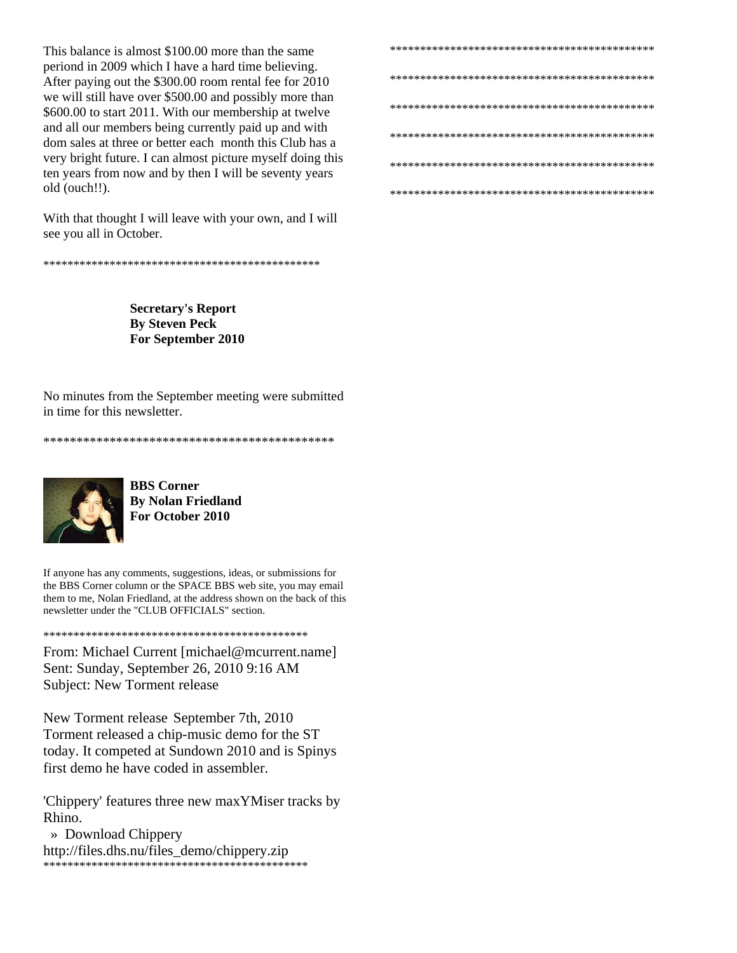This balance is almost \$100.00 more than the same periond in 2009 which I have a hard time believing. After paying out the \$300.00 room rental fee for 2010 we will still have over \$500.00 and possibly more than \$600.00 to start 2011. With our membership at twelve and all our members being currently paid up and with dom sales at three or better each month this Club has a very bright future. I can almost picture myself doing this ten years from now and by then I will be seventy years old (ouch!!).

With that thought I will leave with your own, and I will see you all in October.

**Secretary's Report By Steven Peck** For September 2010

No minutes from the September meeting were submitted in time for this newsletter



**BBS** Corner **By Nolan Friedland** For October 2010

If anyone has any comments, suggestions, ideas, or submissions for the BBS Corner column or the SPACE BBS web site, you may email them to me, Nolan Friedland, at the address shown on the back of this newsletter under the "CLUB OFFICIALS" section.

From: Michael Current [michael@mcurrent.name] Sent: Sunday, September 26, 2010 9:16 AM **Subject: New Torment release** 

New Torment release September 7th, 2010 Torment released a chip-music demo for the ST today. It competed at Sundown 2010 and is Spinys first demo he have coded in assembler.

'Chippery' features three new maxYMiser tracks by Rhino

» Download Chippery http://files.dhs.nu/files\_demo/chippery.zip